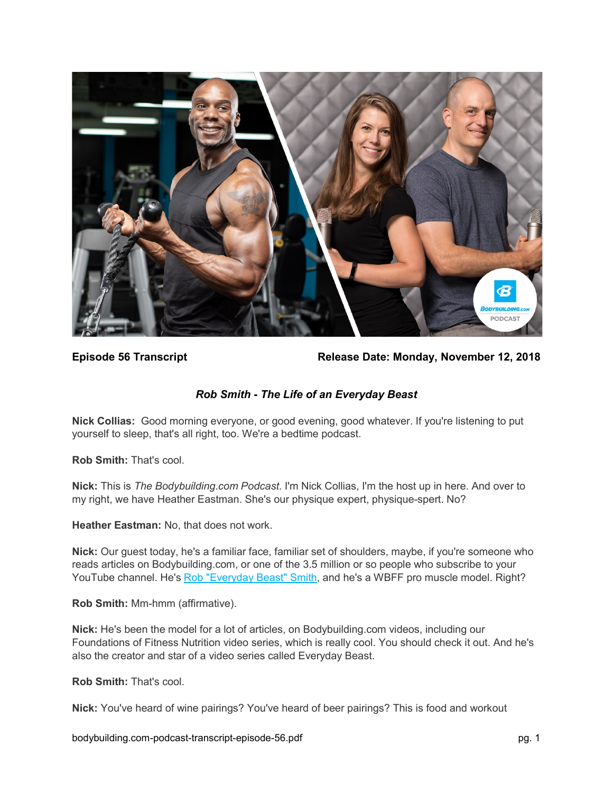

**Episode 56 Transcript Release Date: Monday, November 12, 2018**

# *Rob Smith - The Life of an Everyday Beast*

**Nick Collias:** Good morning everyone, or good evening, good whatever. If you're listening to put yourself to sleep, that's all right, too. We're a bedtime podcast.

**Rob Smith:** That's cool.

**Nick:** This is *The Bodybuilding.com Podcast*. I'm Nick Collias, I'm the host up in here. And over to my right, we have Heather Eastman. She's our physique expert, physique-spert. No?

**Heather Eastman:** No, that does not work.

**Nick:** Our guest today, he's a familiar face, familiar set of shoulders, maybe, if you're someone who reads articles on Bodybuilding.com, or one of the 3.5 million or so people who subscribe to your YouTube channel. He's [Rob "Everyday Beast" Smith,](https://www.bodybuilding.com/author/rob-smith) and he's a WBFF pro muscle model. Right?

**Rob Smith:** Mm-hmm (affirmative).

**Nick:** He's been the model for a lot of articles, on Bodybuilding.com videos, including our Foundations of Fitness Nutrition video series, which is really cool. You should check it out. And he's also the creator and star of a video series called Everyday Beast.

**Rob Smith:** That's cool.

**Nick:** You've heard of wine pairings? You've heard of beer pairings? This is food and workout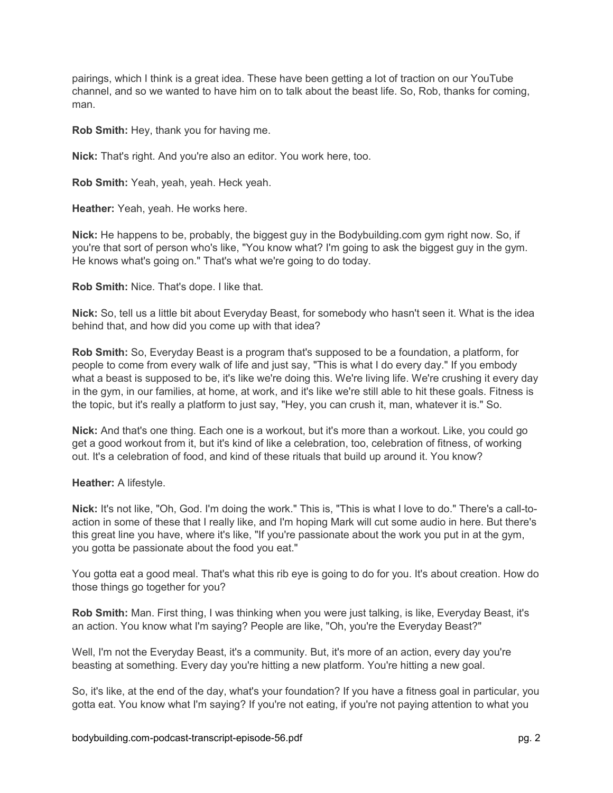pairings, which I think is a great idea. These have been getting a lot of traction on our YouTube channel, and so we wanted to have him on to talk about the beast life. So, Rob, thanks for coming, man.

**Rob Smith:** Hey, thank you for having me.

**Nick:** That's right. And you're also an editor. You work here, too.

**Rob Smith:** Yeah, yeah, yeah. Heck yeah.

**Heather:** Yeah, yeah. He works here.

**Nick:** He happens to be, probably, the biggest guy in the Bodybuilding.com gym right now. So, if you're that sort of person who's like, "You know what? I'm going to ask the biggest guy in the gym. He knows what's going on." That's what we're going to do today.

**Rob Smith:** Nice. That's dope. I like that.

**Nick:** So, tell us a little bit about Everyday Beast, for somebody who hasn't seen it. What is the idea behind that, and how did you come up with that idea?

**Rob Smith:** So, Everyday Beast is a program that's supposed to be a foundation, a platform, for people to come from every walk of life and just say, "This is what I do every day." If you embody what a beast is supposed to be, it's like we're doing this. We're living life. We're crushing it every day in the gym, in our families, at home, at work, and it's like we're still able to hit these goals. Fitness is the topic, but it's really a platform to just say, "Hey, you can crush it, man, whatever it is." So.

**Nick:** And that's one thing. Each one is a workout, but it's more than a workout. Like, you could go get a good workout from it, but it's kind of like a celebration, too, celebration of fitness, of working out. It's a celebration of food, and kind of these rituals that build up around it. You know?

#### **Heather:** A lifestyle.

**Nick:** It's not like, "Oh, God. I'm doing the work." This is, "This is what I love to do." There's a call-toaction in some of these that I really like, and I'm hoping Mark will cut some audio in here. But there's this great line you have, where it's like, "If you're passionate about the work you put in at the gym, you gotta be passionate about the food you eat."

You gotta eat a good meal. That's what this rib eye is going to do for you. It's about creation. How do those things go together for you?

**Rob Smith:** Man. First thing, I was thinking when you were just talking, is like, Everyday Beast, it's an action. You know what I'm saying? People are like, "Oh, you're the Everyday Beast?"

Well, I'm not the Everyday Beast, it's a community. But, it's more of an action, every day you're beasting at something. Every day you're hitting a new platform. You're hitting a new goal.

So, it's like, at the end of the day, what's your foundation? If you have a fitness goal in particular, you gotta eat. You know what I'm saying? If you're not eating, if you're not paying attention to what you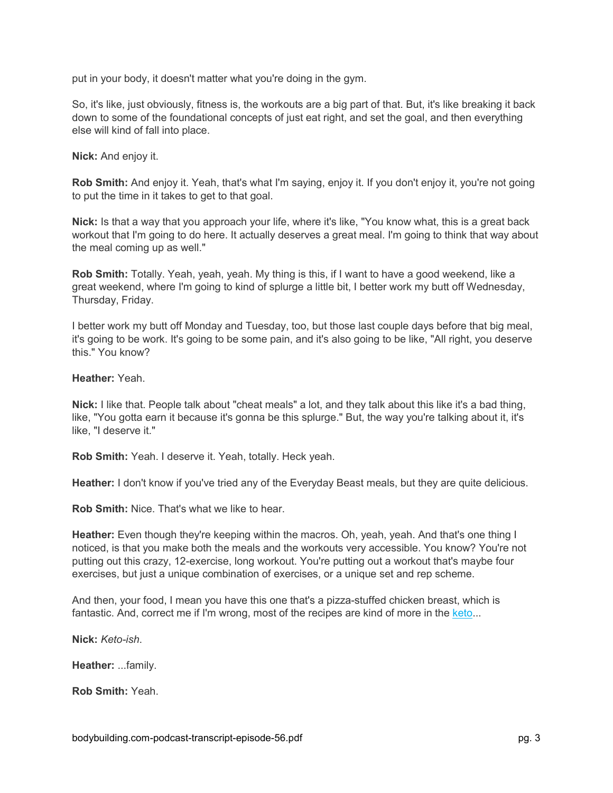put in your body, it doesn't matter what you're doing in the gym.

So, it's like, just obviously, fitness is, the workouts are a big part of that. But, it's like breaking it back down to some of the foundational concepts of just eat right, and set the goal, and then everything else will kind of fall into place.

**Nick:** And enjoy it.

**Rob Smith:** And enjoy it. Yeah, that's what I'm saying, enjoy it. If you don't enjoy it, you're not going to put the time in it takes to get to that goal.

**Nick:** Is that a way that you approach your life, where it's like, "You know what, this is a great back workout that I'm going to do here. It actually deserves a great meal. I'm going to think that way about the meal coming up as well."

**Rob Smith:** Totally. Yeah, yeah, yeah. My thing is this, if I want to have a good weekend, like a great weekend, where I'm going to kind of splurge a little bit, I better work my butt off Wednesday, Thursday, Friday.

I better work my butt off Monday and Tuesday, too, but those last couple days before that big meal, it's going to be work. It's going to be some pain, and it's also going to be like, "All right, you deserve this." You know?

#### **Heather:** Yeah.

**Nick:** I like that. People talk about "cheat meals" a lot, and they talk about this like it's a bad thing, like, "You gotta earn it because it's gonna be this splurge." But, the way you're talking about it, it's like, "I deserve it."

**Rob Smith:** Yeah. I deserve it. Yeah, totally. Heck yeah.

**Heather:** I don't know if you've tried any of the Everyday Beast meals, but they are quite delicious.

**Rob Smith:** Nice. That's what we like to hear.

**Heather:** Even though they're keeping within the macros. Oh, yeah, yeah. And that's one thing I noticed, is that you make both the meals and the workouts very accessible. You know? You're not putting out this crazy, 12-exercise, long workout. You're putting out a workout that's maybe four exercises, but just a unique combination of exercises, or a unique set and rep scheme.

And then, your food, I mean you have this one that's a pizza-stuffed chicken breast, which is fantastic. And, correct me if I'm wrong, most of the recipes are kind of more in the [keto.](https://www.bodybuilding.com/topic/keto)..

**Nick:** *Keto-ish*.

**Heather:** ...family.

**Rob Smith:** Yeah.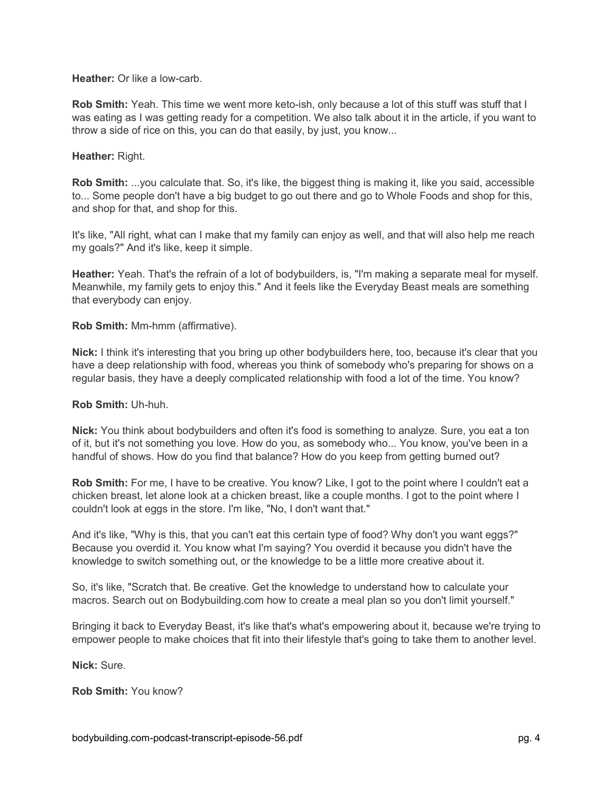**Heather:** Or like a low-carb.

**Rob Smith:** Yeah. This time we went more keto-ish, only because a lot of this stuff was stuff that I was eating as I was getting ready for a competition. We also talk about it in the article, if you want to throw a side of rice on this, you can do that easily, by just, you know...

## **Heather:** Right.

**Rob Smith:** ...you calculate that. So, it's like, the biggest thing is making it, like you said, accessible to... Some people don't have a big budget to go out there and go to Whole Foods and shop for this, and shop for that, and shop for this.

It's like, "All right, what can I make that my family can enjoy as well, and that will also help me reach my goals?" And it's like, keep it simple.

**Heather:** Yeah. That's the refrain of a lot of bodybuilders, is, "I'm making a separate meal for myself. Meanwhile, my family gets to enjoy this." And it feels like the Everyday Beast meals are something that everybody can enjoy.

**Rob Smith:** Mm-hmm (affirmative).

**Nick:** I think it's interesting that you bring up other bodybuilders here, too, because it's clear that you have a deep relationship with food, whereas you think of somebody who's preparing for shows on a regular basis, they have a deeply complicated relationship with food a lot of the time. You know?

### **Rob Smith:** Uh-huh.

**Nick:** You think about bodybuilders and often it's food is something to analyze. Sure, you eat a ton of it, but it's not something you love. How do you, as somebody who... You know, you've been in a handful of shows. How do you find that balance? How do you keep from getting burned out?

**Rob Smith:** For me, I have to be creative. You know? Like, I got to the point where I couldn't eat a chicken breast, let alone look at a chicken breast, like a couple months. I got to the point where I couldn't look at eggs in the store. I'm like, "No, I don't want that."

And it's like, "Why is this, that you can't eat this certain type of food? Why don't you want eggs?" Because you overdid it. You know what I'm saying? You overdid it because you didn't have the knowledge to switch something out, or the knowledge to be a little more creative about it.

So, it's like, "Scratch that. Be creative. Get the knowledge to understand how to calculate your macros. Search out on Bodybuilding.com how to create a meal plan so you don't limit yourself."

Bringing it back to Everyday Beast, it's like that's what's empowering about it, because we're trying to empower people to make choices that fit into their lifestyle that's going to take them to another level.

**Nick:** Sure.

**Rob Smith:** You know?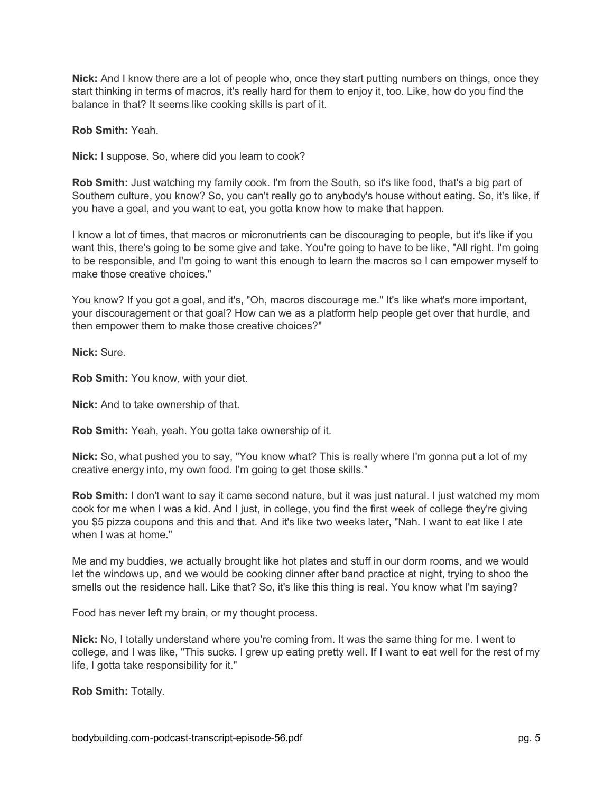**Nick:** And I know there are a lot of people who, once they start putting numbers on things, once they start thinking in terms of macros, it's really hard for them to enjoy it, too. Like, how do you find the balance in that? It seems like cooking skills is part of it.

**Rob Smith:** Yeah.

**Nick:** I suppose. So, where did you learn to cook?

**Rob Smith:** Just watching my family cook. I'm from the South, so it's like food, that's a big part of Southern culture, you know? So, you can't really go to anybody's house without eating. So, it's like, if you have a goal, and you want to eat, you gotta know how to make that happen.

I know a lot of times, that macros or micronutrients can be discouraging to people, but it's like if you want this, there's going to be some give and take. You're going to have to be like, "All right. I'm going to be responsible, and I'm going to want this enough to learn the macros so I can empower myself to make those creative choices."

You know? If you got a goal, and it's, "Oh, macros discourage me." It's like what's more important, your discouragement or that goal? How can we as a platform help people get over that hurdle, and then empower them to make those creative choices?"

**Nick:** Sure.

**Rob Smith:** You know, with your diet.

**Nick:** And to take ownership of that.

**Rob Smith:** Yeah, yeah. You gotta take ownership of it.

**Nick:** So, what pushed you to say, "You know what? This is really where I'm gonna put a lot of my creative energy into, my own food. I'm going to get those skills."

**Rob Smith:** I don't want to say it came second nature, but it was just natural. I just watched my mom cook for me when I was a kid. And I just, in college, you find the first week of college they're giving you \$5 pizza coupons and this and that. And it's like two weeks later, "Nah. I want to eat like I ate when I was at home."

Me and my buddies, we actually brought like hot plates and stuff in our dorm rooms, and we would let the windows up, and we would be cooking dinner after band practice at night, trying to shoo the smells out the residence hall. Like that? So, it's like this thing is real. You know what I'm saying?

Food has never left my brain, or my thought process.

**Nick:** No, I totally understand where you're coming from. It was the same thing for me. I went to college, and I was like, "This sucks. I grew up eating pretty well. If I want to eat well for the rest of my life, I gotta take responsibility for it."

**Rob Smith:** Totally.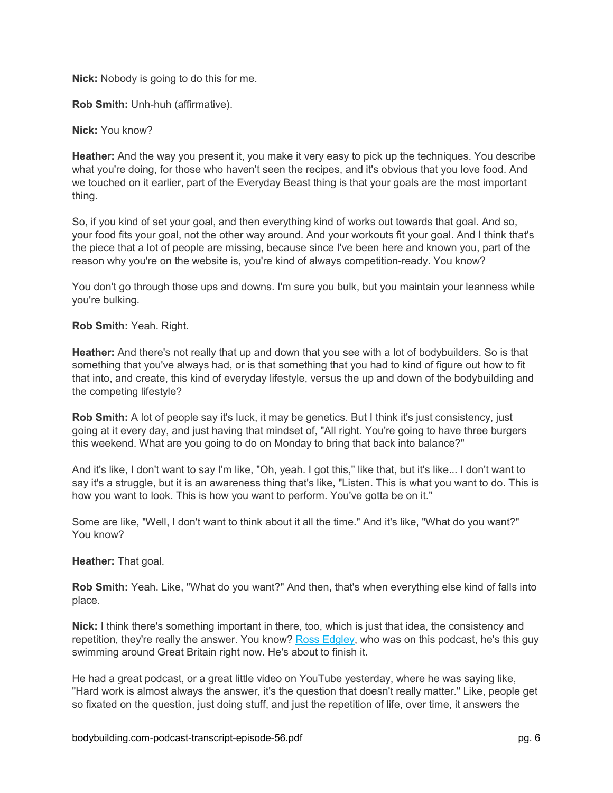**Nick:** Nobody is going to do this for me.

**Rob Smith:** Unh-huh (affirmative).

**Nick:** You know?

**Heather:** And the way you present it, you make it very easy to pick up the techniques. You describe what you're doing, for those who haven't seen the recipes, and it's obvious that you love food. And we touched on it earlier, part of the Everyday Beast thing is that your goals are the most important thing.

So, if you kind of set your goal, and then everything kind of works out towards that goal. And so, your food fits your goal, not the other way around. And your workouts fit your goal. And I think that's the piece that a lot of people are missing, because since I've been here and known you, part of the reason why you're on the website is, you're kind of always competition-ready. You know?

You don't go through those ups and downs. I'm sure you bulk, but you maintain your leanness while you're bulking.

**Rob Smith:** Yeah. Right.

**Heather:** And there's not really that up and down that you see with a lot of bodybuilders. So is that something that you've always had, or is that something that you had to kind of figure out how to fit that into, and create, this kind of everyday lifestyle, versus the up and down of the bodybuilding and the competing lifestyle?

**Rob Smith:** A lot of people say it's luck, it may be genetics. But I think it's just consistency, just going at it every day, and just having that mindset of, "All right. You're going to have three burgers this weekend. What are you going to do on Monday to bring that back into balance?"

And it's like, I don't want to say I'm like, "Oh, yeah. I got this," like that, but it's like... I don't want to say it's a struggle, but it is an awareness thing that's like, "Listen. This is what you want to do. This is how you want to look. This is how you want to perform. You've gotta be on it."

Some are like, "Well, I don't want to think about it all the time." And it's like, "What do you want?" You know?

# **Heather:** That goal.

**Rob Smith:** Yeah. Like, "What do you want?" And then, that's when everything else kind of falls into place.

**Nick:** I think there's something important in there, too, which is just that idea, the consistency and repetition, they're really the answer. You know? [Ross Edgley,](https://www.bodybuilding.com/fun/podcast-episode-44-the-worlds-fittest-podcast-episode-with-ross-edgley.html) who was on this podcast, he's this guy swimming around Great Britain right now. He's about to finish it.

He had a great podcast, or a great little video on YouTube yesterday, where he was saying like, "Hard work is almost always the answer, it's the question that doesn't really matter." Like, people get so fixated on the question, just doing stuff, and just the repetition of life, over time, it answers the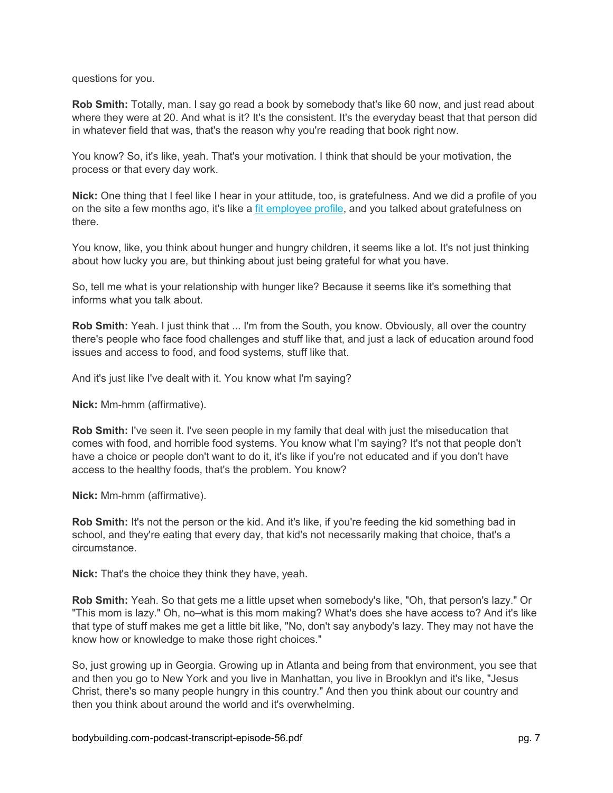questions for you.

**Rob Smith:** Totally, man. I say go read a book by somebody that's like 60 now, and just read about where they were at 20. And what is it? It's the consistent. It's the everyday beast that that person did in whatever field that was, that's the reason why you're reading that book right now.

You know? So, it's like, yeah. That's your motivation. I think that should be your motivation, the process or that every day work.

**Nick:** One thing that I feel like I hear in your attitude, too, is gratefulness. And we did a profile of you on the site a few months ago, it's like a [fit employee profile,](https://www.bodybuilding.com/content/bodybuildingcom-fit-employee-spotlight-rob-smith.html) and you talked about gratefulness on there.

You know, like, you think about hunger and hungry children, it seems like a lot. It's not just thinking about how lucky you are, but thinking about just being grateful for what you have.

So, tell me what is your relationship with hunger like? Because it seems like it's something that informs what you talk about.

**Rob Smith:** Yeah. I just think that ... I'm from the South, you know. Obviously, all over the country there's people who face food challenges and stuff like that, and just a lack of education around food issues and access to food, and food systems, stuff like that.

And it's just like I've dealt with it. You know what I'm saying?

**Nick:** Mm-hmm (affirmative).

**Rob Smith:** I've seen it. I've seen people in my family that deal with just the miseducation that comes with food, and horrible food systems. You know what I'm saying? It's not that people don't have a choice or people don't want to do it, it's like if you're not educated and if you don't have access to the healthy foods, that's the problem. You know?

**Nick:** Mm-hmm (affirmative).

**Rob Smith:** It's not the person or the kid. And it's like, if you're feeding the kid something bad in school, and they're eating that every day, that kid's not necessarily making that choice, that's a circumstance.

**Nick:** That's the choice they think they have, yeah.

**Rob Smith:** Yeah. So that gets me a little upset when somebody's like, "Oh, that person's lazy." Or "This mom is lazy." Oh, no–what is this mom making? What's does she have access to? And it's like that type of stuff makes me get a little bit like, "No, don't say anybody's lazy. They may not have the know how or knowledge to make those right choices."

So, just growing up in Georgia. Growing up in Atlanta and being from that environment, you see that and then you go to New York and you live in Manhattan, you live in Brooklyn and it's like, "Jesus Christ, there's so many people hungry in this country." And then you think about our country and then you think about around the world and it's overwhelming.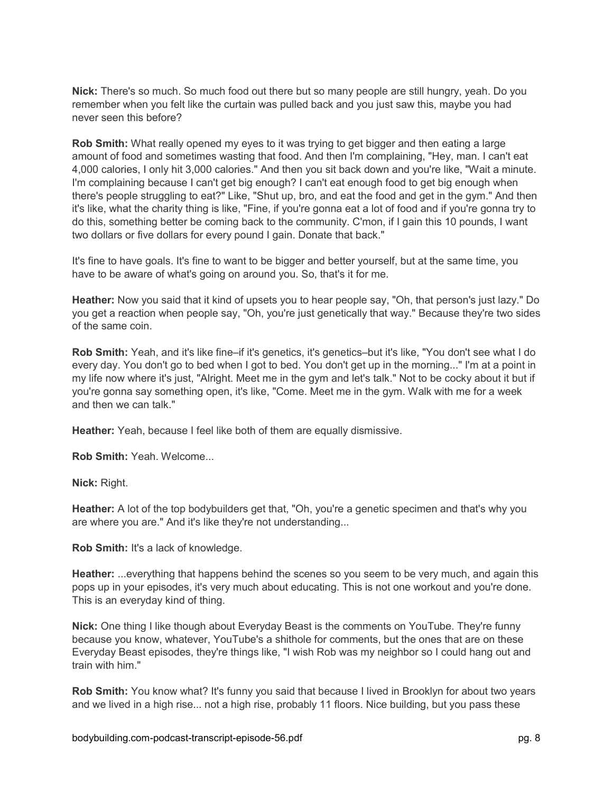**Nick:** There's so much. So much food out there but so many people are still hungry, yeah. Do you remember when you felt like the curtain was pulled back and you just saw this, maybe you had never seen this before?

**Rob Smith:** What really opened my eyes to it was trying to get bigger and then eating a large amount of food and sometimes wasting that food. And then I'm complaining, "Hey, man. I can't eat 4,000 calories, I only hit 3,000 calories." And then you sit back down and you're like, "Wait a minute. I'm complaining because I can't get big enough? I can't eat enough food to get big enough when there's people struggling to eat?" Like, "Shut up, bro, and eat the food and get in the gym." And then it's like, what the charity thing is like, "Fine, if you're gonna eat a lot of food and if you're gonna try to do this, something better be coming back to the community. C'mon, if I gain this 10 pounds, I want two dollars or five dollars for every pound I gain. Donate that back."

It's fine to have goals. It's fine to want to be bigger and better yourself, but at the same time, you have to be aware of what's going on around you. So, that's it for me.

**Heather:** Now you said that it kind of upsets you to hear people say, "Oh, that person's just lazy." Do you get a reaction when people say, "Oh, you're just genetically that way." Because they're two sides of the same coin.

**Rob Smith:** Yeah, and it's like fine–if it's genetics, it's genetics–but it's like, "You don't see what I do every day. You don't go to bed when I got to bed. You don't get up in the morning..." I'm at a point in my life now where it's just, "Alright. Meet me in the gym and let's talk." Not to be cocky about it but if you're gonna say something open, it's like, "Come. Meet me in the gym. Walk with me for a week and then we can talk."

**Heather:** Yeah, because I feel like both of them are equally dismissive.

**Rob Smith:** Yeah. Welcome...

**Nick:** Right.

**Heather:** A lot of the top bodybuilders get that, "Oh, you're a genetic specimen and that's why you are where you are." And it's like they're not understanding...

**Rob Smith:** It's a lack of knowledge.

**Heather:** ...everything that happens behind the scenes so you seem to be very much, and again this pops up in your episodes, it's very much about educating. This is not one workout and you're done. This is an everyday kind of thing.

**Nick:** One thing I like though about Everyday Beast is the comments on YouTube. They're funny because you know, whatever, YouTube's a shithole for comments, but the ones that are on these Everyday Beast episodes, they're things like, "I wish Rob was my neighbor so I could hang out and train with him."

**Rob Smith:** You know what? It's funny you said that because I lived in Brooklyn for about two years and we lived in a high rise... not a high rise, probably 11 floors. Nice building, but you pass these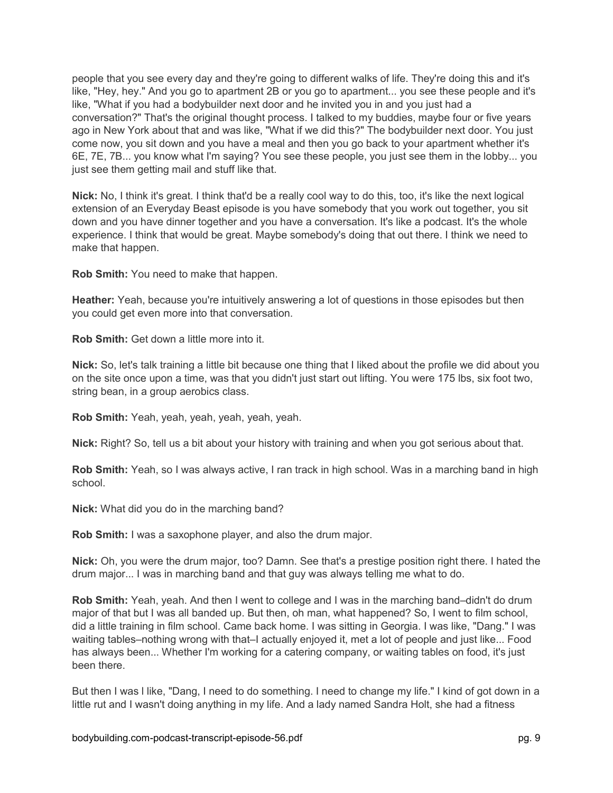people that you see every day and they're going to different walks of life. They're doing this and it's like, "Hey, hey." And you go to apartment 2B or you go to apartment... you see these people and it's like, "What if you had a bodybuilder next door and he invited you in and you just had a conversation?" That's the original thought process. I talked to my buddies, maybe four or five years ago in New York about that and was like, "What if we did this?" The bodybuilder next door. You just come now, you sit down and you have a meal and then you go back to your apartment whether it's 6E, 7E, 7B... you know what I'm saying? You see these people, you just see them in the lobby... you just see them getting mail and stuff like that.

**Nick:** No, I think it's great. I think that'd be a really cool way to do this, too, it's like the next logical extension of an Everyday Beast episode is you have somebody that you work out together, you sit down and you have dinner together and you have a conversation. It's like a podcast. It's the whole experience. I think that would be great. Maybe somebody's doing that out there. I think we need to make that happen.

**Rob Smith:** You need to make that happen.

**Heather:** Yeah, because you're intuitively answering a lot of questions in those episodes but then you could get even more into that conversation.

**Rob Smith:** Get down a little more into it.

**Nick:** So, let's talk training a little bit because one thing that I liked about the profile we did about you on the site once upon a time, was that you didn't just start out lifting. You were 175 lbs, six foot two, string bean, in a group aerobics class.

**Rob Smith:** Yeah, yeah, yeah, yeah, yeah, yeah.

**Nick:** Right? So, tell us a bit about your history with training and when you got serious about that.

**Rob Smith:** Yeah, so I was always active, I ran track in high school. Was in a marching band in high school.

**Nick:** What did you do in the marching band?

**Rob Smith:** I was a saxophone player, and also the drum major.

**Nick:** Oh, you were the drum major, too? Damn. See that's a prestige position right there. I hated the drum major... I was in marching band and that guy was always telling me what to do.

**Rob Smith:** Yeah, yeah. And then I went to college and I was in the marching band–didn't do drum major of that but I was all banded up. But then, oh man, what happened? So, I went to film school, did a little training in film school. Came back home. I was sitting in Georgia. I was like, "Dang." I was waiting tables–nothing wrong with that–I actually enjoyed it, met a lot of people and just like... Food has always been... Whether I'm working for a catering company, or waiting tables on food, it's just been there.

But then I was l like, "Dang, I need to do something. I need to change my life." I kind of got down in a little rut and I wasn't doing anything in my life. And a lady named Sandra Holt, she had a fitness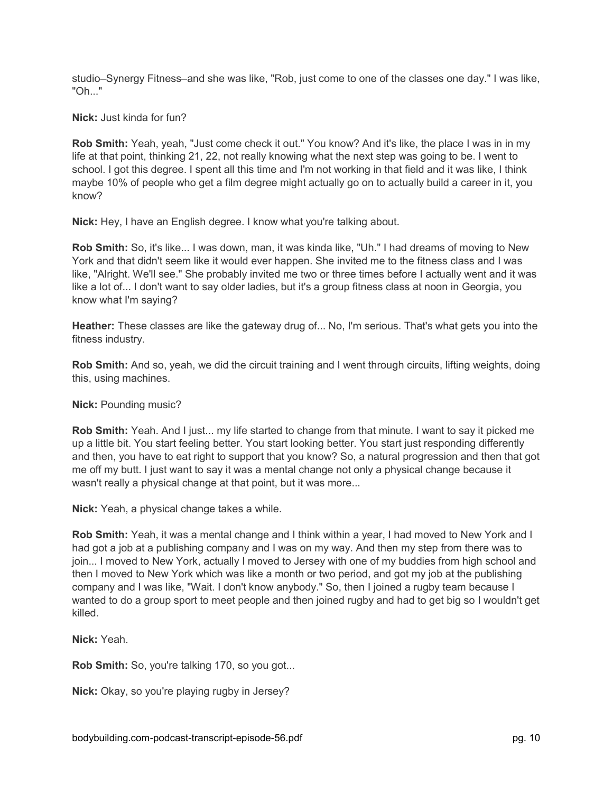studio–Synergy Fitness–and she was like, "Rob, just come to one of the classes one day." I was like, "Oh..."

**Nick:** Just kinda for fun?

**Rob Smith:** Yeah, yeah, "Just come check it out." You know? And it's like, the place I was in in my life at that point, thinking 21, 22, not really knowing what the next step was going to be. I went to school. I got this degree. I spent all this time and I'm not working in that field and it was like, I think maybe 10% of people who get a film degree might actually go on to actually build a career in it, you know?

**Nick:** Hey, I have an English degree. I know what you're talking about.

**Rob Smith:** So, it's like... I was down, man, it was kinda like, "Uh." I had dreams of moving to New York and that didn't seem like it would ever happen. She invited me to the fitness class and I was like, "Alright. We'll see." She probably invited me two or three times before I actually went and it was like a lot of... I don't want to say older ladies, but it's a group fitness class at noon in Georgia, you know what I'm saying?

**Heather:** These classes are like the gateway drug of... No, I'm serious. That's what gets you into the fitness industry.

**Rob Smith:** And so, yeah, we did the circuit training and I went through circuits, lifting weights, doing this, using machines.

**Nick:** Pounding music?

**Rob Smith:** Yeah. And I just... my life started to change from that minute. I want to say it picked me up a little bit. You start feeling better. You start looking better. You start just responding differently and then, you have to eat right to support that you know? So, a natural progression and then that got me off my butt. I just want to say it was a mental change not only a physical change because it wasn't really a physical change at that point, but it was more...

**Nick:** Yeah, a physical change takes a while.

**Rob Smith:** Yeah, it was a mental change and I think within a year, I had moved to New York and I had got a job at a publishing company and I was on my way. And then my step from there was to join... I moved to New York, actually I moved to Jersey with one of my buddies from high school and then I moved to New York which was like a month or two period, and got my job at the publishing company and I was like, "Wait. I don't know anybody." So, then I joined a rugby team because I wanted to do a group sport to meet people and then joined rugby and had to get big so I wouldn't get killed.

**Nick:** Yeah.

**Rob Smith:** So, you're talking 170, so you got...

**Nick:** Okay, so you're playing rugby in Jersey?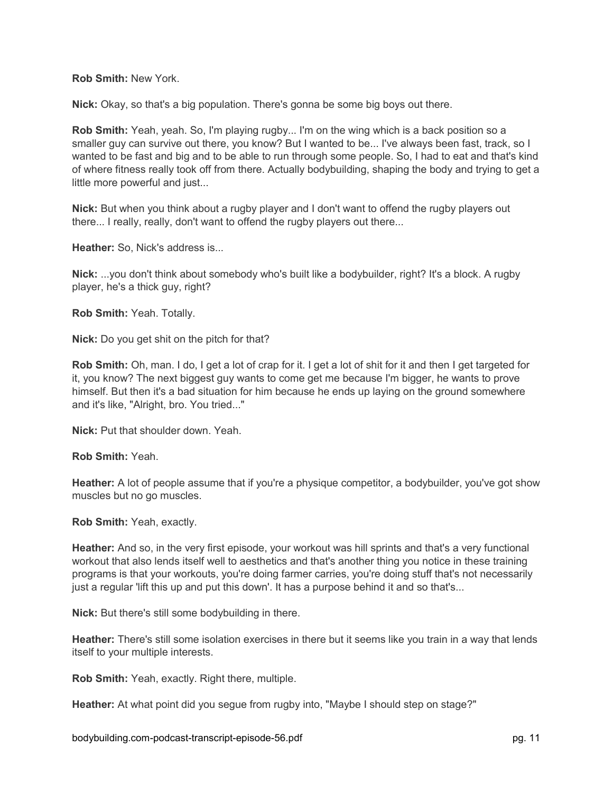**Rob Smith:** New York.

**Nick:** Okay, so that's a big population. There's gonna be some big boys out there.

**Rob Smith:** Yeah, yeah. So, I'm playing rugby... I'm on the wing which is a back position so a smaller guy can survive out there, you know? But I wanted to be... I've always been fast, track, so I wanted to be fast and big and to be able to run through some people. So, I had to eat and that's kind of where fitness really took off from there. Actually bodybuilding, shaping the body and trying to get a little more powerful and just...

**Nick:** But when you think about a rugby player and I don't want to offend the rugby players out there... I really, really, don't want to offend the rugby players out there...

**Heather:** So, Nick's address is...

**Nick:** ...you don't think about somebody who's built like a bodybuilder, right? It's a block. A rugby player, he's a thick guy, right?

**Rob Smith:** Yeah. Totally.

**Nick:** Do you get shit on the pitch for that?

**Rob Smith:** Oh, man. I do, I get a lot of crap for it. I get a lot of shit for it and then I get targeted for it, you know? The next biggest guy wants to come get me because I'm bigger, he wants to prove himself. But then it's a bad situation for him because he ends up laying on the ground somewhere and it's like, "Alright, bro. You tried..."

**Nick:** Put that shoulder down. Yeah.

**Rob Smith:** Yeah.

**Heather:** A lot of people assume that if you're a physique competitor, a bodybuilder, you've got show muscles but no go muscles.

**Rob Smith:** Yeah, exactly.

**Heather:** And so, in the very first episode, your workout was hill sprints and that's a very functional workout that also lends itself well to aesthetics and that's another thing you notice in these training programs is that your workouts, you're doing farmer carries, you're doing stuff that's not necessarily just a regular 'lift this up and put this down'. It has a purpose behind it and so that's...

**Nick:** But there's still some bodybuilding in there.

**Heather:** There's still some isolation exercises in there but it seems like you train in a way that lends itself to your multiple interests.

**Rob Smith:** Yeah, exactly. Right there, multiple.

**Heather:** At what point did you segue from rugby into, "Maybe I should step on stage?"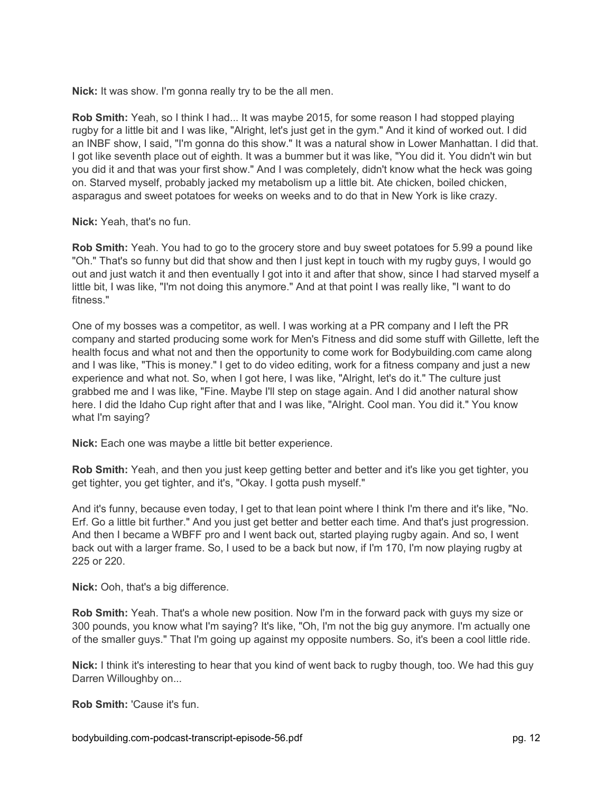**Nick:** It was show. I'm gonna really try to be the all men.

**Rob Smith:** Yeah, so I think I had... It was maybe 2015, for some reason I had stopped playing rugby for a little bit and I was like, "Alright, let's just get in the gym." And it kind of worked out. I did an INBF show, I said, "I'm gonna do this show." It was a natural show in Lower Manhattan. I did that. I got like seventh place out of eighth. It was a bummer but it was like, "You did it. You didn't win but you did it and that was your first show." And I was completely, didn't know what the heck was going on. Starved myself, probably jacked my metabolism up a little bit. Ate chicken, boiled chicken, asparagus and sweet potatoes for weeks on weeks and to do that in New York is like crazy.

**Nick:** Yeah, that's no fun.

**Rob Smith:** Yeah. You had to go to the grocery store and buy sweet potatoes for 5.99 a pound like "Oh." That's so funny but did that show and then I just kept in touch with my rugby guys, I would go out and just watch it and then eventually I got into it and after that show, since I had starved myself a little bit, I was like, "I'm not doing this anymore." And at that point I was really like, "I want to do fitness."

One of my bosses was a competitor, as well. I was working at a PR company and I left the PR company and started producing some work for Men's Fitness and did some stuff with Gillette, left the health focus and what not and then the opportunity to come work for Bodybuilding.com came along and I was like, "This is money." I get to do video editing, work for a fitness company and just a new experience and what not. So, when I got here, I was like, "Alright, let's do it." The culture just grabbed me and I was like, "Fine. Maybe I'll step on stage again. And I did another natural show here. I did the Idaho Cup right after that and I was like, "Alright. Cool man. You did it." You know what I'm saying?

**Nick:** Each one was maybe a little bit better experience.

**Rob Smith:** Yeah, and then you just keep getting better and better and it's like you get tighter, you get tighter, you get tighter, and it's, "Okay. I gotta push myself."

And it's funny, because even today, I get to that lean point where I think I'm there and it's like, "No. Erf. Go a little bit further." And you just get better and better each time. And that's just progression. And then I became a WBFF pro and I went back out, started playing rugby again. And so, I went back out with a larger frame. So, I used to be a back but now, if I'm 170, I'm now playing rugby at 225 or 220.

**Nick:** Ooh, that's a big difference.

**Rob Smith:** Yeah. That's a whole new position. Now I'm in the forward pack with guys my size or 300 pounds, you know what I'm saying? It's like, "Oh, I'm not the big guy anymore. I'm actually one of the smaller guys." That I'm going up against my opposite numbers. So, it's been a cool little ride.

**Nick:** I think it's interesting to hear that you kind of went back to rugby though, too. We had this guy Darren Willoughby on...

**Rob Smith:** 'Cause it's fun.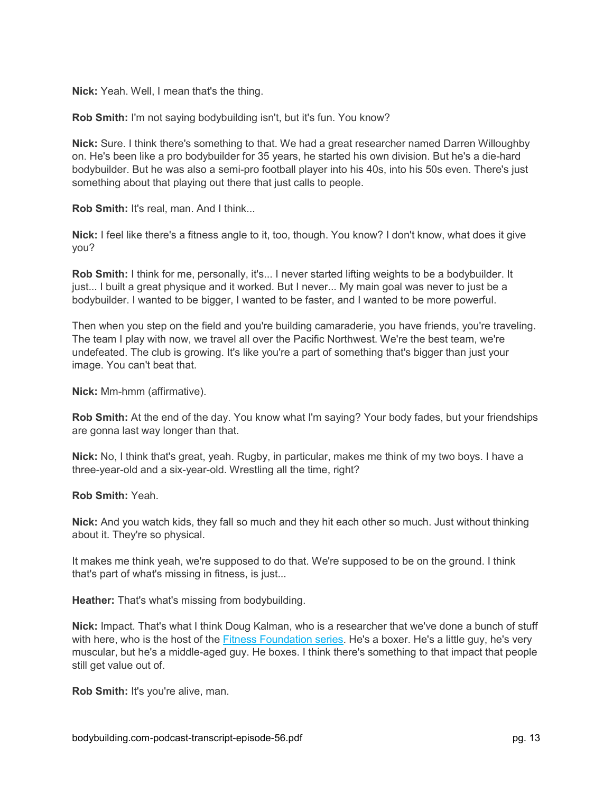**Nick:** Yeah. Well, I mean that's the thing.

**Rob Smith:** I'm not saying bodybuilding isn't, but it's fun. You know?

**Nick:** Sure. I think there's something to that. We had a great researcher named Darren Willoughby on. He's been like a pro bodybuilder for 35 years, he started his own division. But he's a die-hard bodybuilder. But he was also a semi-pro football player into his 40s, into his 50s even. There's just something about that playing out there that just calls to people.

**Rob Smith:** It's real, man. And I think...

**Nick:** I feel like there's a fitness angle to it, too, though. You know? I don't know, what does it give you?

**Rob Smith:** I think for me, personally, it's... I never started lifting weights to be a bodybuilder. It just... I built a great physique and it worked. But I never... My main goal was never to just be a bodybuilder. I wanted to be bigger, I wanted to be faster, and I wanted to be more powerful.

Then when you step on the field and you're building camaraderie, you have friends, you're traveling. The team I play with now, we travel all over the Pacific Northwest. We're the best team, we're undefeated. The club is growing. It's like you're a part of something that's bigger than just your image. You can't beat that.

**Nick:** Mm-hmm (affirmative).

**Rob Smith:** At the end of the day. You know what I'm saying? Your body fades, but your friendships are gonna last way longer than that.

**Nick:** No, I think that's great, yeah. Rugby, in particular, makes me think of my two boys. I have a three-year-old and a six-year-old. Wrestling all the time, right?

**Rob Smith:** Yeah.

**Nick:** And you watch kids, they fall so much and they hit each other so much. Just without thinking about it. They're so physical.

It makes me think yeah, we're supposed to do that. We're supposed to be on the ground. I think that's part of what's missing in fitness, is just...

**Heather:** That's what's missing from bodybuilding.

**Nick:** Impact. That's what I think Doug Kalman, who is a researcher that we've done a bunch of stuff with here, who is the host of the **Fitness Foundation series**. He's a boxer. He's a little guy, he's very muscular, but he's a middle-aged guy. He boxes. I think there's something to that impact that people still get value out of.

**Rob Smith:** It's you're alive, man.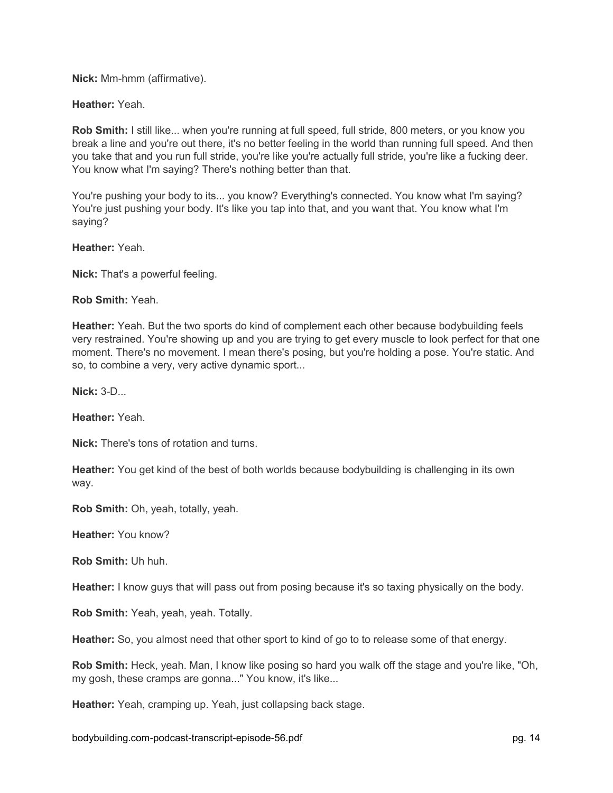**Nick:** Mm-hmm (affirmative).

**Heather:** Yeah.

**Rob Smith:** I still like... when you're running at full speed, full stride, 800 meters, or you know you break a line and you're out there, it's no better feeling in the world than running full speed. And then you take that and you run full stride, you're like you're actually full stride, you're like a fucking deer. You know what I'm saying? There's nothing better than that.

You're pushing your body to its... you know? Everything's connected. You know what I'm saying? You're just pushing your body. It's like you tap into that, and you want that. You know what I'm saying?

**Heather:** Yeah.

**Nick:** That's a powerful feeling.

**Rob Smith:** Yeah.

**Heather:** Yeah. But the two sports do kind of complement each other because bodybuilding feels very restrained. You're showing up and you are trying to get every muscle to look perfect for that one moment. There's no movement. I mean there's posing, but you're holding a pose. You're static. And so, to combine a very, very active dynamic sport...

**Nick:** 3-D...

**Heather:** Yeah.

**Nick:** There's tons of rotation and turns.

**Heather:** You get kind of the best of both worlds because bodybuilding is challenging in its own way.

**Rob Smith:** Oh, yeah, totally, yeah.

**Heather:** You know?

**Rob Smith:** Uh huh.

**Heather:** I know guys that will pass out from posing because it's so taxing physically on the body.

**Rob Smith:** Yeah, yeah, yeah. Totally.

**Heather:** So, you almost need that other sport to kind of go to to release some of that energy.

**Rob Smith:** Heck, yeah. Man, I know like posing so hard you walk off the stage and you're like, "Oh, my gosh, these cramps are gonna..." You know, it's like...

**Heather:** Yeah, cramping up. Yeah, just collapsing back stage.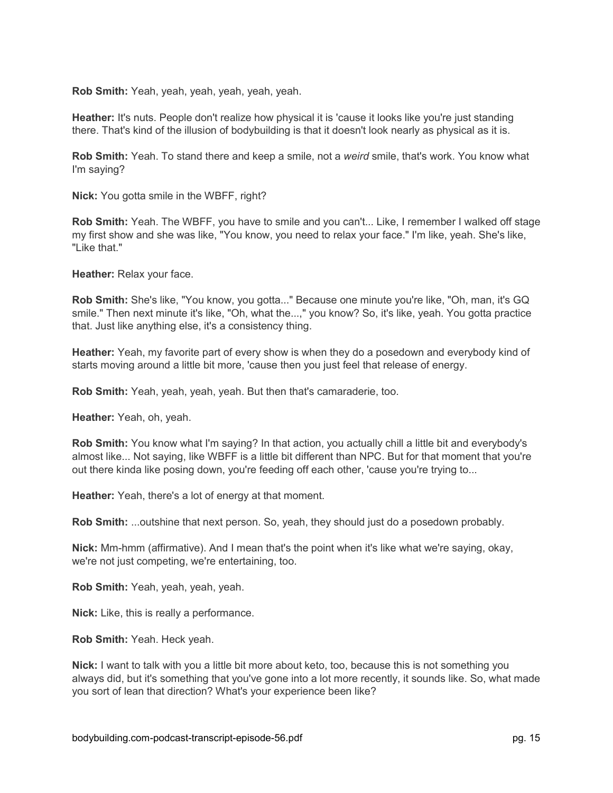**Rob Smith:** Yeah, yeah, yeah, yeah, yeah, yeah.

**Heather:** It's nuts. People don't realize how physical it is 'cause it looks like you're just standing there. That's kind of the illusion of bodybuilding is that it doesn't look nearly as physical as it is.

**Rob Smith:** Yeah. To stand there and keep a smile, not a *weird* smile, that's work. You know what I'm saying?

**Nick:** You gotta smile in the WBFF, right?

**Rob Smith:** Yeah. The WBFF, you have to smile and you can't... Like, I remember I walked off stage my first show and she was like, "You know, you need to relax your face." I'm like, yeah. She's like, "Like that."

**Heather:** Relax your face.

**Rob Smith:** She's like, "You know, you gotta..." Because one minute you're like, "Oh, man, it's GQ smile." Then next minute it's like, "Oh, what the...," you know? So, it's like, yeah. You gotta practice that. Just like anything else, it's a consistency thing.

**Heather:** Yeah, my favorite part of every show is when they do a posedown and everybody kind of starts moving around a little bit more, 'cause then you just feel that release of energy.

**Rob Smith:** Yeah, yeah, yeah, yeah. But then that's camaraderie, too.

**Heather:** Yeah, oh, yeah.

**Rob Smith:** You know what I'm saying? In that action, you actually chill a little bit and everybody's almost like... Not saying, like WBFF is a little bit different than NPC. But for that moment that you're out there kinda like posing down, you're feeding off each other, 'cause you're trying to...

**Heather:** Yeah, there's a lot of energy at that moment.

**Rob Smith:** ...outshine that next person. So, yeah, they should just do a posedown probably.

**Nick:** Mm-hmm (affirmative). And I mean that's the point when it's like what we're saying, okay, we're not just competing, we're entertaining, too.

**Rob Smith:** Yeah, yeah, yeah, yeah.

**Nick:** Like, this is really a performance.

**Rob Smith:** Yeah. Heck yeah.

**Nick:** I want to talk with you a little bit more about keto, too, because this is not something you always did, but it's something that you've gone into a lot more recently, it sounds like. So, what made you sort of lean that direction? What's your experience been like?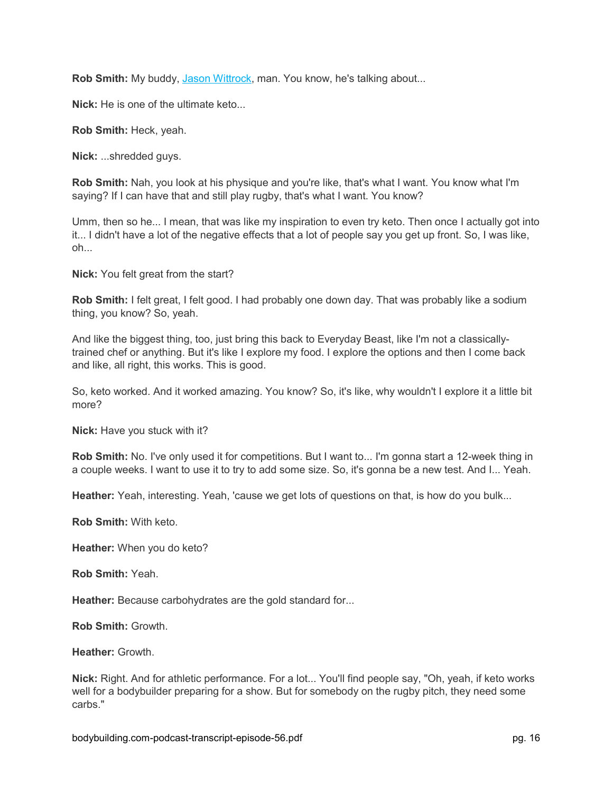**Rob Smith:** My buddy, [Jason Wittrock,](https://www.bodybuilding.com/content/team-bodybuildingcom-athlete-profile-jason-wittrock.html) man. You know, he's talking about...

**Nick:** He is one of the ultimate keto...

**Rob Smith:** Heck, yeah.

**Nick:** ...shredded guys.

**Rob Smith:** Nah, you look at his physique and you're like, that's what I want. You know what I'm saying? If I can have that and still play rugby, that's what I want. You know?

Umm, then so he... I mean, that was like my inspiration to even try keto. Then once I actually got into it... I didn't have a lot of the negative effects that a lot of people say you get up front. So, I was like, oh...

**Nick:** You felt great from the start?

**Rob Smith:** I felt great, I felt good. I had probably one down day. That was probably like a sodium thing, you know? So, yeah.

And like the biggest thing, too, just bring this back to Everyday Beast, like I'm not a classicallytrained chef or anything. But it's like I explore my food. I explore the options and then I come back and like, all right, this works. This is good.

So, keto worked. And it worked amazing. You know? So, it's like, why wouldn't I explore it a little bit more?

**Nick:** Have you stuck with it?

**Rob Smith:** No. I've only used it for competitions. But I want to... I'm gonna start a 12-week thing in a couple weeks. I want to use it to try to add some size. So, it's gonna be a new test. And I... Yeah.

**Heather:** Yeah, interesting. Yeah, 'cause we get lots of questions on that, is how do you bulk...

**Rob Smith:** With keto.

**Heather:** When you do keto?

**Rob Smith:** Yeah.

**Heather:** Because carbohydrates are the gold standard for...

**Rob Smith:** Growth.

**Heather:** Growth.

**Nick:** Right. And for athletic performance. For a lot... You'll find people say, "Oh, yeah, if keto works well for a bodybuilder preparing for a show. But for somebody on the rugby pitch, they need some carbs."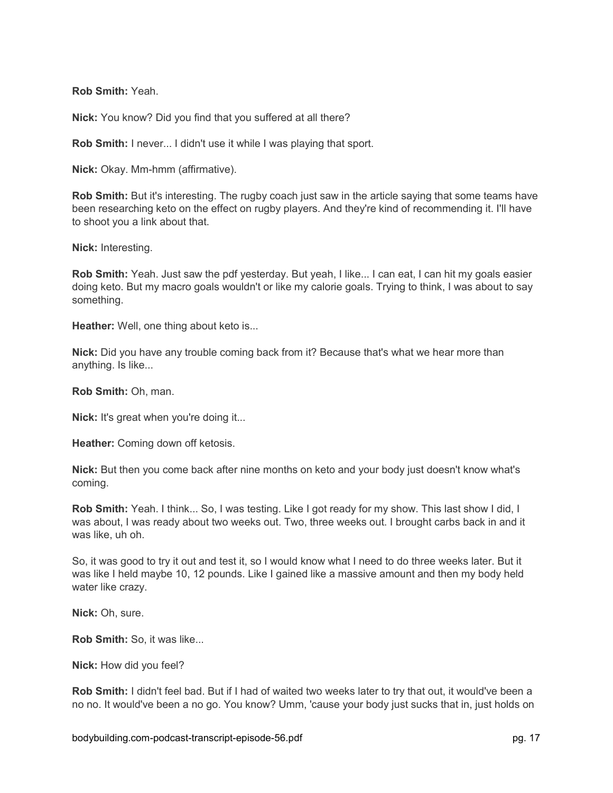**Rob Smith:** Yeah.

**Nick:** You know? Did you find that you suffered at all there?

**Rob Smith:** I never... I didn't use it while I was playing that sport.

**Nick:** Okay. Mm-hmm (affirmative).

**Rob Smith:** But it's interesting. The rugby coach just saw in the article saying that some teams have been researching keto on the effect on rugby players. And they're kind of recommending it. I'll have to shoot you a link about that.

**Nick:** Interesting.

**Rob Smith:** Yeah. Just saw the pdf yesterday. But yeah, I like... I can eat, I can hit my goals easier doing keto. But my macro goals wouldn't or like my calorie goals. Trying to think, I was about to say something.

**Heather:** Well, one thing about keto is...

**Nick:** Did you have any trouble coming back from it? Because that's what we hear more than anything. Is like...

**Rob Smith:** Oh, man.

**Nick:** It's great when you're doing it...

**Heather:** Coming down off ketosis.

**Nick:** But then you come back after nine months on keto and your body just doesn't know what's coming.

**Rob Smith:** Yeah. I think... So, I was testing. Like I got ready for my show. This last show I did, I was about, I was ready about two weeks out. Two, three weeks out. I brought carbs back in and it was like, uh oh.

So, it was good to try it out and test it, so I would know what I need to do three weeks later. But it was like I held maybe 10, 12 pounds. Like I gained like a massive amount and then my body held water like crazy.

**Nick:** Oh, sure.

**Rob Smith:** So, it was like...

**Nick:** How did you feel?

**Rob Smith:** I didn't feel bad. But if I had of waited two weeks later to try that out, it would've been a no no. It would've been a no go. You know? Umm, 'cause your body just sucks that in, just holds on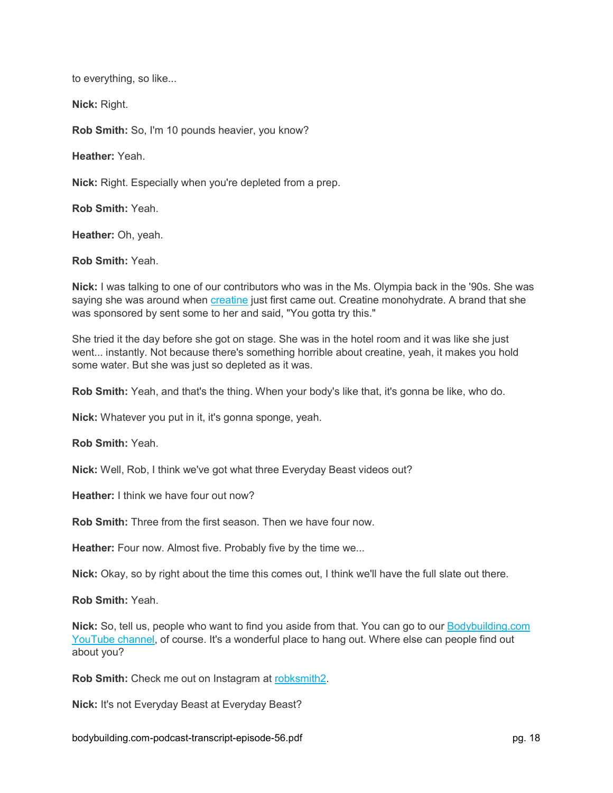to everything, so like...

**Nick:** Right.

**Rob Smith:** So, I'm 10 pounds heavier, you know?

**Heather:** Yeah.

**Nick:** Right. Especially when you're depleted from a prep.

**Rob Smith:** Yeah.

**Heather:** Oh, yeah.

**Rob Smith:** Yeah.

**Nick:** I was talking to one of our contributors who was in the Ms. Olympia back in the '90s. She was saying she was around when [creatine](https://www.bodybuilding.com/fun/koch1.htm) just first came out. Creatine monohydrate. A brand that she was sponsored by sent some to her and said, "You gotta try this."

She tried it the day before she got on stage. She was in the hotel room and it was like she just went... instantly. Not because there's something horrible about creatine, yeah, it makes you hold some water. But she was just so depleted as it was.

**Rob Smith:** Yeah, and that's the thing. When your body's like that, it's gonna be like, who do.

**Nick:** Whatever you put in it, it's gonna sponge, yeah.

**Rob Smith:** Yeah.

**Nick:** Well, Rob, I think we've got what three Everyday Beast videos out?

**Heather:** I think we have four out now?

**Rob Smith:** Three from the first season. Then we have four now.

**Heather:** Four now. Almost five. Probably five by the time we...

**Nick:** Okay, so by right about the time this comes out, I think we'll have the full slate out there.

**Rob Smith:** Yeah.

**Nick:** So, tell us, people who want to find you aside from that. You can go to our [Bodybuilding.com](https://www.youtube.com/user/bodybuildingcomvideo)  [YouTube channel,](https://www.youtube.com/user/bodybuildingcomvideo) of course. It's a wonderful place to hang out. Where else can people find out about you?

**Rob Smith:** Check me out on Instagram at [robksmith2.](https://www.instagram.com/robksmith2/)

**Nick:** It's not Everyday Beast at Everyday Beast?

bodybuilding.com-podcast-transcript-episode-56.pdf pg. 18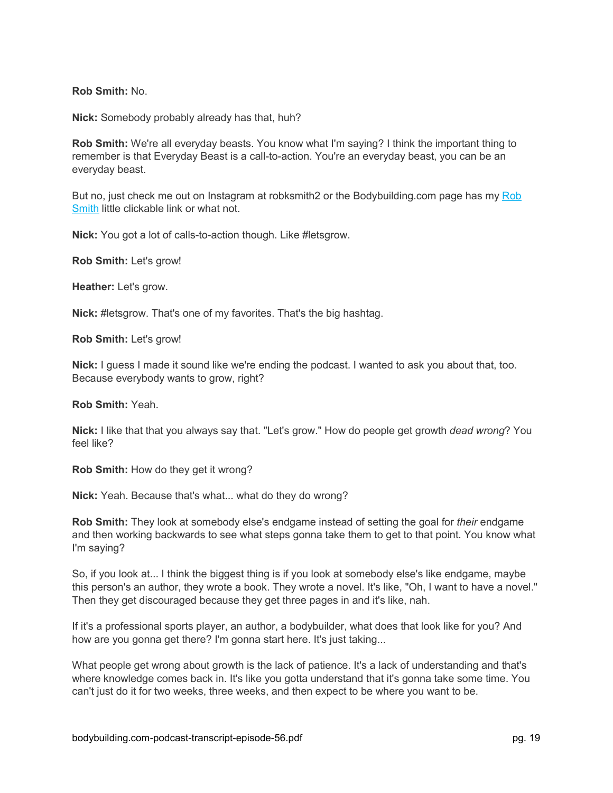**Rob Smith:** No.

**Nick:** Somebody probably already has that, huh?

**Rob Smith:** We're all everyday beasts. You know what I'm saying? I think the important thing to remember is that Everyday Beast is a call-to-action. You're an everyday beast, you can be an everyday beast.

But no, just check me out on Instagram at robksmith2 or the Bodybuilding.com page has my Rob [Smith](https://www.bodybuilding.com/author/rob-smith) little clickable link or what not.

**Nick:** You got a lot of calls-to-action though. Like #letsgrow.

**Rob Smith:** Let's grow!

**Heather:** Let's grow.

**Nick:** #letsgrow. That's one of my favorites. That's the big hashtag.

**Rob Smith:** Let's grow!

**Nick:** I guess I made it sound like we're ending the podcast. I wanted to ask you about that, too. Because everybody wants to grow, right?

**Rob Smith:** Yeah.

**Nick:** I like that that you always say that. "Let's grow." How do people get growth *dead wrong*? You feel like?

**Rob Smith:** How do they get it wrong?

**Nick:** Yeah. Because that's what... what do they do wrong?

**Rob Smith:** They look at somebody else's endgame instead of setting the goal for *their* endgame and then working backwards to see what steps gonna take them to get to that point. You know what I'm saying?

So, if you look at... I think the biggest thing is if you look at somebody else's like endgame, maybe this person's an author, they wrote a book. They wrote a novel. It's like, "Oh, I want to have a novel." Then they get discouraged because they get three pages in and it's like, nah.

If it's a professional sports player, an author, a bodybuilder, what does that look like for you? And how are you gonna get there? I'm gonna start here. It's just taking...

What people get wrong about growth is the lack of patience. It's a lack of understanding and that's where knowledge comes back in. It's like you gotta understand that it's gonna take some time. You can't just do it for two weeks, three weeks, and then expect to be where you want to be.